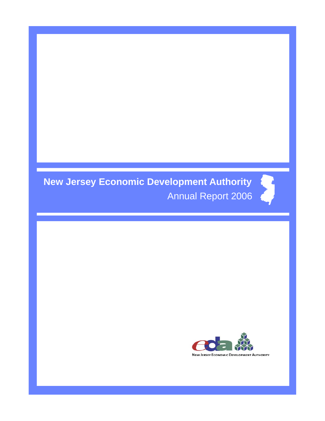# **New Jersey Economic Development Authority**  Annual Report 2006

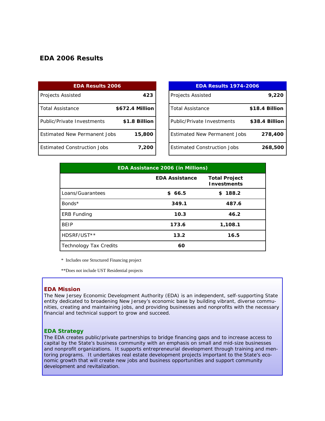# *EDA 2006 Results*

| <b>EDA Results 2006</b>             |                 |  |  |
|-------------------------------------|-----------------|--|--|
| <b>Projects Assisted</b>            | 423             |  |  |
| Total Assistance                    | \$672.4 Million |  |  |
| <b>Public/Private Investments</b>   | \$1.8 Billion   |  |  |
| <b>Fstimated New Permanent Jobs</b> | 15,800          |  |  |
| <b>Estimated Construction Jobs</b>  | 7,200           |  |  |

| <b>EDA Results 1974-2006</b>        |                |  |  |
|-------------------------------------|----------------|--|--|
| <b>Projects Assisted</b>            | 9,220          |  |  |
| <b>Total Assistance</b>             | \$18.4 Billion |  |  |
| Public/Private Investments          | \$38.4 Billion |  |  |
| <b>Estimated New Permanent Jobs</b> | 278,400        |  |  |
| <b>Estimated Construction Jobs</b>  | 268,500        |  |  |

| <b>EDA Assistance 2006 (in Millions)</b> |                       |                                            |  |
|------------------------------------------|-----------------------|--------------------------------------------|--|
|                                          | <b>EDA Assistance</b> | <b>Total Project</b><br><b>Investments</b> |  |
| Loans/Guarantees                         | \$66.5                | \$188.2                                    |  |
| Bonds*                                   | 349.1                 | 487.6                                      |  |
| <b>ERB Funding</b>                       | 10.3                  | 46.2                                       |  |
| <b>BEIP</b>                              | 173.6                 | 1,108.1                                    |  |
| HDSRF/UST**                              | 13.2                  | 16.5                                       |  |
| Technology Tax Credits                   | 60                    |                                            |  |

\* Includes one Structured Financing project

\*\*Does not include UST Residential projects

#### **EDA Mission**

The New Jersey Economic Development Authority (EDA) is an independent, self-supporting State entity dedicated to broadening New Jersey's economic base by building vibrant, diverse communities, creating and maintaining jobs, and providing businesses and nonprofits with the necessary financial and technical support to grow and succeed.

#### **EDA Strategy**

The EDA creates public/private partnerships to bridge financing gaps and to increase access to capital by the State's business community with an emphasis on small and mid-size businesses and nonprofit organizations. It supports entrepreneurial development through training and mentoring programs. It undertakes real estate development projects important to the State's economic growth that will create new jobs and business opportunities and support community development and revitalization.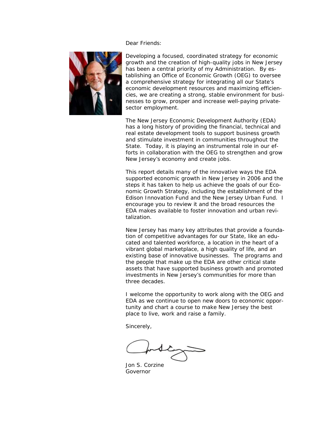Dear Friends:



Developing a focused, coordinated strategy for economic growth and the creation of high-quality jobs in New Jersey has been a central priority of my Administration. By establishing an Office of Economic Growth (OEG) to oversee a comprehensive strategy for integrating all our State's economic development resources and maximizing efficiencies, we are creating a strong, stable environment for businesses to grow, prosper and increase well-paying privatesector employment.

The New Jersey Economic Development Authority (EDA) has a long history of providing the financial, technical and real estate development tools to support business growth and stimulate investment in communities throughout the State. Today, it is playing an instrumental role in our efforts in collaboration with the OEG to strengthen and grow New Jersey's economy and create jobs.

This report details many of the innovative ways the EDA supported economic growth in New Jersey in 2006 and the steps it has taken to help us achieve the goals of our Economic Growth Strategy, including the establishment of the Edison Innovation Fund and the New Jersey Urban Fund. I encourage you to review it and the broad resources the EDA makes available to foster innovation and urban revitalization.

New Jersey has many key attributes that provide a foundation of competitive advantages for our State, like an educated and talented workforce, a location in the heart of a vibrant global marketplace, a high quality of life, and an existing base of innovative businesses. The programs and the people that make up the EDA are other critical state assets that have supported business growth and promoted investments in New Jersey's communities for more than three decades.

I welcome the opportunity to work along with the OEG and EDA as we continue to open new doors to economic opportunity and chart a course to make New Jersey the best place to live, work and raise a family.

Sincerely,

Jon S. Corzine Governor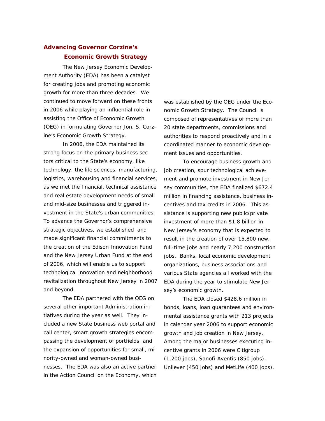# **Advancing Governor Corzine's Economic Growth Strategy**

 The New Jersey Economic Development Authority (EDA) has been a catalyst for creating jobs and promoting economic growth for more than three decades. We continued to move forward on these fronts in 2006 while playing an influential role in assisting the Office of Economic Growth (OEG) in formulating Governor Jon. S. Corzine's Economic Growth Strategy.

 In 2006, the EDA maintained its strong focus on the primary business sectors critical to the State's economy, like technology, the life sciences, manufacturing, logistics, warehousing and financial services, as we met the financial, technical assistance and real estate development needs of small and mid-size businesses and triggered investment in the State's urban communities. To advance the Governor's comprehensive strategic objectives, we established and made significant financial commitments to the creation of the Edison Innovation Fund and the New Jersey Urban Fund at the end of 2006, which will enable us to support technological innovation and neighborhood revitalization throughout New Jersey in 2007 and beyond.

The EDA partnered with the OEG on several other important Administration initiatives during the year as well. They included a new State business web portal and call center, smart growth strategies encompassing the development of portfields, and the expansion of opportunities for small, minority-owned and woman-owned businesses. The EDA was also an active partner in the Action Council on the Economy, which was established by the OEG under the Economic Growth Strategy. The Council is composed of representatives of more than 20 state departments, commissions and authorities to respond proactively and in a coordinated manner to economic development issues and opportunities.

To encourage business growth and job creation, spur technological achievement and promote investment in New Jersey communities, the EDA finalized \$672.4 million in financing assistance, business incentives and tax credits in 2006. This assistance is supporting new public/private investment of more than \$1.8 billion in New Jersey's economy that is expected to result in the creation of over 15,800 new, full-time jobs and nearly 7,200 construction jobs. Banks, local economic development organizations, business associations and various State agencies all worked with the EDA during the year to stimulate New Jersey's economic growth.

The EDA closed \$428.6 million in bonds, loans, loan guarantees and environmental assistance grants with 213 projects in calendar year 2006 to support economic growth and job creation in New Jersey. Among the major businesses executing incentive grants in 2006 were Citigroup (1,200 jobs), Sanofi-Aventis (850 jobs), Unilever (450 jobs) and MetLife (400 jobs).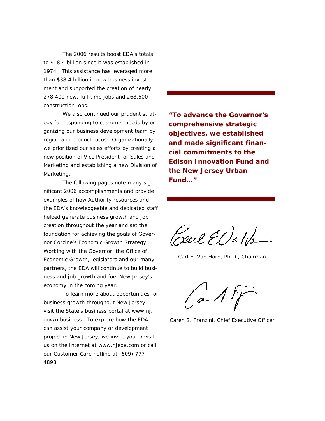The 2006 results boost EDA's totals to \$18.4 billion since it was established in 1974. This assistance has leveraged more than \$38.4 billion in new business investment and supported the creation of nearly 278,400 new, full-time jobs and 268,500 construction jobs.

We also continued our prudent strategy for responding to customer needs by organizing our business development team by region and product focus. Organizationally, we prioritized our sales efforts by creating a new position of Vice President for Sales and Marketing and establishing a new Division of Marketing.

The following pages note many significant 2006 accomplishments and provide examples of how Authority resources and the EDA's knowledgeable and dedicated staff helped generate business growth and job creation throughout the year and set the foundation for achieving the goals of Governor Corzine's Economic Growth Strategy. Working with the Governor, the Office of Economic Growth, legislators and our many partners, the EDA will continue to build business and job growth and fuel New Jersey's economy in the coming year.

 To learn more about opportunities for business growth throughout New Jersey, visit the State's business portal at www.nj. gov/njbusiness. To explore how the EDA can assist your company or development project in New Jersey, we invite you to visit us on the Internet at www.njeda.com or call our Customer Care hotline at (609) 777- 4898.

*"To advance the Governor's comprehensive strategic objectives, we established and made significant financial commitments to the Edison Innovation Fund and the New Jersey Urban Fund…"* 

Sail El Jalde

Carl E. Van Horn, Ph.D., *Chairman* 

 $a$  1  $f$ 

Caren S. Franzini, *Chief Executive Officer*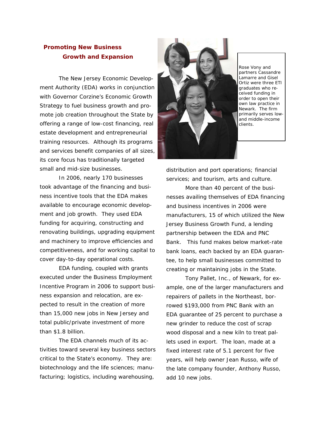# **Promoting New Business Growth and Expansion**

 The New Jersey Economic Development Authority (EDA) works in conjunction with Governor Corzine's Economic Growth Strategy to fuel business growth and promote job creation throughout the State by offering a range of low-cost financing, real estate development and entrepreneurial training resources. Although its programs and services benefit companies of all sizes, its core focus has traditionally targeted small and mid-size businesses.

 In 2006, nearly 170 businesses took advantage of the financing and business incentive tools that the EDA makes available to encourage economic development and job growth. They used EDA funding for acquiring, constructing and renovating buildings, upgrading equipment and machinery to improve efficiencies and competitiveness, and for working capital to cover day-to-day operational costs.

 EDA funding, coupled with grants executed under the Business Employment Incentive Program in 2006 to support business expansion and relocation, are expected to result in the creation of more than 15,000 new jobs in New Jersey and total public/private investment of more than \$1.8 billion.

 The EDA channels much of its activities toward several key business sectors critical to the State's economy. They are: biotechnology and the life sciences; manufacturing; logistics, including warehousing,



*Rose Vony and partners Cassandre Lamarre and Gisel Ortiz were three ETI graduates who received funding in order to open their own law practice in Newark. The firm primarily serves lowand middle-income clients.* 

distribution and port operations; financial services; and tourism, arts and culture.

 More than 40 percent of the businesses availing themselves of EDA financing and business incentives in 2006 were manufacturers, 15 of which utilized the New Jersey Business Growth Fund, a lending partnership between the EDA and PNC Bank. This fund makes below market-rate bank loans, each backed by an EDA guarantee, to help small businesses committed to creating or maintaining jobs in the State.

 Tony Pallet, Inc., of Newark, for example, one of the larger manufacturers and repairers of pallets in the Northeast, borrowed \$193,000 from PNC Bank with an EDA guarantee of 25 percent to purchase a new grinder to reduce the cost of scrap wood disposal and a new kiln to treat pallets used in export. The loan, made at a fixed interest rate of 5.1 percent for five years, will help owner Jean Russo, wife of the late company founder, Anthony Russo, add 10 new jobs.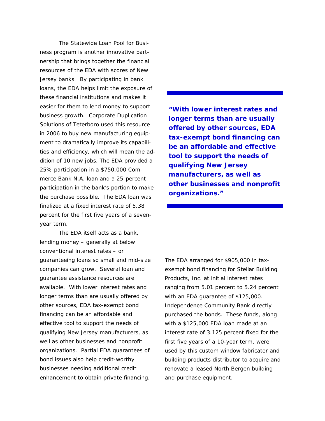The Statewide Loan Pool for Business program is another innovative partnership that brings together the financial resources of the EDA with scores of New Jersey banks. By participating in bank loans, the EDA helps limit the exposure of these financial institutions and makes it easier for them to lend money to support business growth. Corporate Duplication Solutions of Teterboro used this resource in 2006 to buy new manufacturing equipment to dramatically improve its capabilities and efficiency, which will mean the addition of 10 new jobs. The EDA provided a 25% participation in a \$750,000 Commerce Bank N.A. loan and a 25-percent participation in the bank's portion to make the purchase possible. The EDA loan was finalized at a fixed interest rate of 5.38 percent for the first five years of a sevenyear term.

 The EDA itself acts as a bank, lending money – generally at below conventional interest rates – or guaranteeing loans so small and mid-size companies can grow. Several loan and guarantee assistance resources are available. With lower interest rates and longer terms than are usually offered by other sources, EDA tax-exempt bond financing can be an affordable and effective tool to support the needs of qualifying New Jersey manufacturers, as well as other businesses and nonprofit organizations. Partial EDA guarantees of bond issues also help credit-worthy businesses needing additional credit enhancement to obtain private financing.

*"With lower interest rates and longer terms than are usually offered by other sources, EDA tax-exempt bond financing can be an affordable and effective tool to support the needs of qualifying New Jersey manufacturers, as well as other businesses and nonprofit organizations."* 

The EDA arranged for \$905,000 in taxexempt bond financing for Stellar Building Products, Inc. at initial interest rates ranging from 5.01 percent to 5.24 percent with an EDA guarantee of \$125,000. Independence Community Bank directly purchased the bonds. These funds, along with a \$125,000 EDA loan made at an interest rate of 3.125 percent fixed for the first five years of a 10-year term, were used by this custom window fabricator and building products distributor to acquire and renovate a leased North Bergen building and purchase equipment.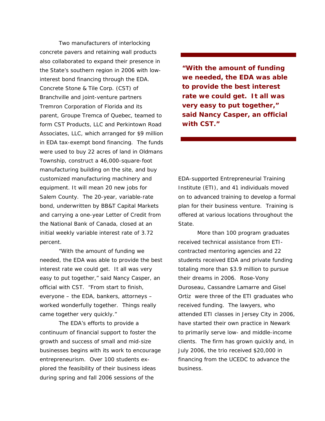Two manufacturers of interlocking concrete pavers and retaining wall products also collaborated to expand their presence in the State's southern region in 2006 with lowinterest bond financing through the EDA. Concrete Stone & Tile Corp. (CST) of Branchville and joint-venture partners Tremron Corporation of Florida and its parent, Groupe Tremca of Quebec, teamed to form CST Products, LLC and Perkintown Road Associates, LLC, which arranged for \$9 million in EDA tax-exempt bond financing. The funds were used to buy 22 acres of land in Oldmans Township, construct a 46,000-square-foot manufacturing building on the site, and buy customized manufacturing machinery and equipment. It will mean 20 new jobs for Salem County. The 20-year, variable-rate bond, underwritten by BB&T Capital Markets and carrying a one-year Letter of Credit from the National Bank of Canada, closed at an initial weekly variable interest rate of 3.72 percent.

 "With the amount of funding we needed, the EDA was able to provide the best interest rate we could get. It all was very easy to put together," said Nancy Casper, an official with CST. "From start to finish, everyone – the EDA, bankers, attorneys – worked wonderfully together. Things really came together very quickly."

 The EDA's efforts to provide a continuum of financial support to foster the growth and success of small and mid-size businesses begins with its work to encourage entrepreneurism. Over 100 students explored the feasibility of their business ideas during spring and fall 2006 sessions of the

*"With the amount of funding we needed, the EDA was able to provide the best interest rate we could get. It all was very easy to put together," said Nancy Casper, an official with CST."* 

EDA-supported Entrepreneurial Training Institute (ETI), and 41 individuals moved on to advanced training to develop a formal plan for their business venture. Training is offered at various locations throughout the State.

 More than 100 program graduates received technical assistance from ETIcontracted mentoring agencies and 22 students received EDA and private funding totaling more than \$3.9 million to pursue their dreams in 2006. Rose-Vony Duroseau, Cassandre Lamarre and Gisel Ortiz were three of the ETI graduates who received funding. The lawyers, who attended ETI classes in Jersey City in 2006, have started their own practice in Newark to primarily serve low- and middle-income clients. The firm has grown quickly and, in July 2006, the trio received \$20,000 in financing from the UCEDC to advance the business.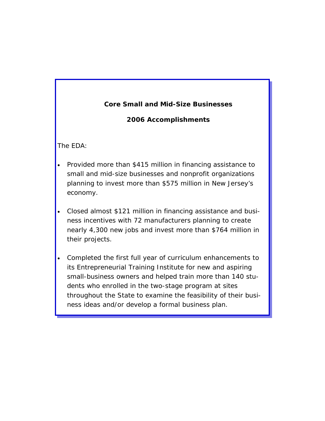# **Core Small and Mid-Size Businesses**

# *2006 Accomplishments*

The EDA:

- Provided more than \$415 million in financing assistance to small and mid-size businesses and nonprofit organizations planning to invest more than \$575 million in New Jersey's economy.
- Closed almost \$121 million in financing assistance and business incentives with 72 manufacturers planning to create nearly 4,300 new jobs and invest more than \$764 million in their projects.
- Completed the first full year of curriculum enhancements to its Entrepreneurial Training Institute for new and aspiring small-business owners and helped train more than 140 students who enrolled in the two-stage program at sites throughout the State to examine the feasibility of their business ideas and/or develop a formal business plan.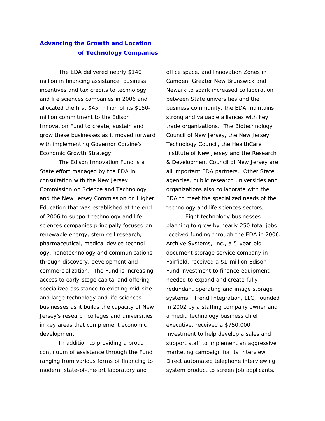# **Advancing the Growth and Location of Technology Companies**

 The EDA delivered nearly \$140 million in financing assistance, business incentives and tax credits to technology and life sciences companies in 2006 and allocated the first \$45 million of its \$150 million commitment to the Edison Innovation Fund to create, sustain and grow these businesses as it moved forward with implementing Governor Corzine's Economic Growth Strategy.

 The Edison Innovation Fund is a State effort managed by the EDA in consultation with the New Jersey Commission on Science and Technology and the New Jersey Commission on Higher Education that was established at the end of 2006 to support technology and life sciences companies principally focused on renewable energy, stem cell research, pharmaceutical, medical device technology, nanotechnology and communications through discovery, development and commercialization. The Fund is increasing access to early-stage capital and offering specialized assistance to existing mid-size and large technology and life sciences businesses as it builds the capacity of New Jersey's research colleges and universities in key areas that complement economic development.

 In addition to providing a broad continuum of assistance through the Fund ranging from various forms of financing to modern, state-of-the-art laboratory and

office space, and Innovation Zones in Camden, Greater New Brunswick and Newark to spark increased collaboration between State universities and the business community, the EDA maintains strong and valuable alliances with key trade organizations. The Biotechnology Council of New Jersey, the New Jersey Technology Council, the HealthCare Institute of New Jersey and the Research & Development Council of New Jersey are all important EDA partners. Other State agencies, public research universities and organizations also collaborate with the EDA to meet the specialized needs of the technology and life sciences sectors.

 Eight technology businesses planning to grow by nearly 250 total jobs received funding through the EDA in 2006. Archive Systems, Inc., a 5-year-old document storage service company in Fairfield, received a \$1-million Edison Fund investment to finance equipment needed to expand and create fully redundant operating and image storage systems. Trend Integration, LLC, founded in 2002 by a staffing company owner and a media technology business chief executive, received a \$750,000 investment to help develop a sales and support staff to implement an aggressive marketing campaign for its Interview Direct automated telephone interviewing system product to screen job applicants.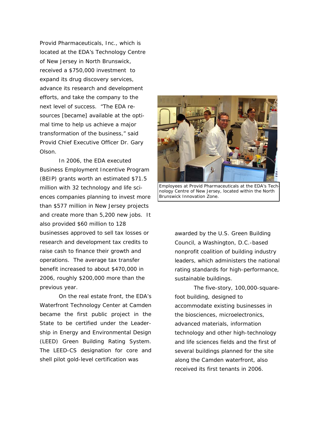Provid Pharmaceuticals, Inc., which is located at the EDA's Technology Centre of New Jersey in North Brunswick, received a \$750,000 investment to expand its drug discovery services, advance its research and development efforts, and take the company to the next level of success. "The EDA resources [became] available at the optimal time to help us achieve a major transformation of the business," said Provid Chief Executive Officer Dr. Gary Olson.

 In 2006, the EDA executed Business Employment Incentive Program (BEIP) grants worth an estimated \$71.5 million with 32 technology and life sciences companies planning to invest more than \$577 million in New Jersey projects and create more than 5,200 new jobs. It also provided \$60 million to 128 businesses approved to sell tax losses or research and development tax credits to raise cash to finance their growth and operations. The average tax transfer benefit increased to about \$470,000 in 2006, roughly \$200,000 more than the previous year.

 On the real estate front, the EDA's Waterfront Technology Center at Camden became the first public project in the State to be certified under the Leadership in Energy and Environmental Design (LEED) Green Building Rating System. The LEED-CS designation for core and shell pilot gold-level certification was



*Employees at Provid Pharmaceuticals at the EDA's Technology Centre of New Jersey, located within the North Brunswick Innovation Zone.* 

awarded by the U.S. Green Building Council, a Washington, D.C.-based nonprofit coalition of building industry leaders, which administers the national rating standards for high-performance, sustainable buildings.

 The five-story, 100,000-squarefoot building, designed to accommodate existing businesses in the biosciences, microelectronics, advanced materials, information technology and other high-technology and life sciences fields and the first of several buildings planned for the site along the Camden waterfront, also received its first tenants in 2006.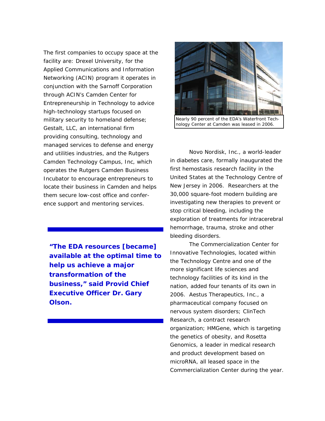The first companies to occupy space at the facility are: Drexel University, for the Applied Communications and Information Networking (ACIN) program it operates in conjunction with the Sarnoff Corporation through ACIN's Camden Center for Entrepreneurship in Technology to advice high-technology startups focused on military security to homeland defense; Gestalt, LLC, an international firm providing consulting, technology and managed services to defense and energy and utilities industries, and the Rutgers Camden Technology Campus, Inc, which operates the Rutgers Camden Business Incubator to encourage entrepreneurs to locate their business in Camden and helps them secure low-cost office and conference support and mentoring services.

*"The EDA resources [became] available at the optimal time to help us achieve a major transformation of the business," said Provid Chief Executive Officer Dr. Gary Olson.* 



*nology Center at Camden was leased in 2006.* 

 Novo Nordisk, Inc., a world-leader in diabetes care, formally inaugurated the first hemostasis research facility in the United States at the Technology Centre of New Jersey in 2006. Researchers at the 30,000 square-foot modern building are investigating new therapies to prevent or stop critical bleeding, including the exploration of treatments for intracerebral hemorrhage, trauma, stroke and other bleeding disorders.

 The Commercialization Center for Innovative Technologies, located within the Technology Centre and one of the more significant life sciences and technology facilities of its kind in the nation, added four tenants of its own in 2006. Aestus Therapeutics, Inc., a pharmaceutical company focused on nervous system disorders; ClinTech Research, a contract research organization; HMGene, which is targeting the genetics of obesity, and Rosetta Genomics, a leader in medical research and product development based on microRNA, all leased space in the Commercialization Center during the year.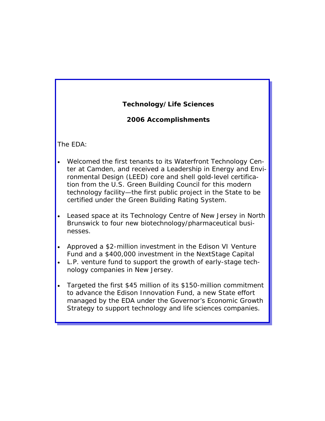# **Technology/Life Sciences**

## *2006 Accomplishments*

The EDA:

- Welcomed the first tenants to its Waterfront Technology Center at Camden, and received a Leadership in Energy and Environmental Design (LEED) core and shell gold-level certification from the U.S. Green Building Council for this modern technology facility—the first public project in the State to be certified under the Green Building Rating System.
- Leased space at its Technology Centre of New Jersey in North Brunswick to four new biotechnology/pharmaceutical businesses.
- Approved a \$2-million investment in the Edison VI Venture Fund and a \$400,000 investment in the NextStage Capital
- L.P. venture fund to support the growth of early-stage technology companies in New Jersey.
- Targeted the first \$45 million of its \$150-million commitment to advance the Edison Innovation Fund, a new State effort managed by the EDA under the Governor's Economic Growth Strategy to support technology and life sciences companies.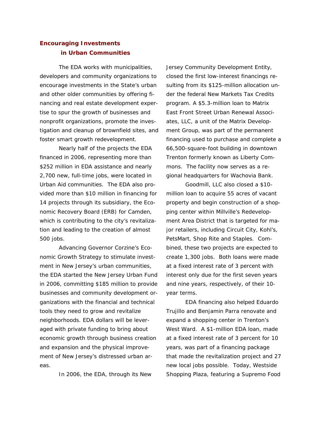# **Encouraging Investments in Urban Communities**

 The EDA works with municipalities, developers and community organizations to encourage investments in the State's urban and other older communities by offering financing and real estate development expertise to spur the growth of businesses and nonprofit organizations, promote the investigation and cleanup of brownfield sites, and foster smart growth redevelopment.

 Nearly half of the projects the EDA financed in 2006, representing more than \$252 million in EDA assistance and nearly 2,700 new, full-time jobs, were located in Urban Aid communities. The EDA also provided more than \$10 million in financing for 14 projects through its subsidiary, the Economic Recovery Board (ERB) for Camden, which is contributing to the city's revitalization and leading to the creation of almost 500 jobs.

 Advancing Governor Corzine's Economic Growth Strategy to stimulate investment in New Jersey's urban communities, the EDA started the New Jersey Urban Fund in 2006, committing \$185 million to provide businesses and community development organizations with the financial and technical tools they need to grow and revitalize neighborhoods. EDA dollars will be leveraged with private funding to bring about economic growth through business creation and expansion and the physical improvement of New Jersey's distressed urban areas.

In 2006, the EDA, through its New

Jersey Community Development Entity, closed the first low-interest financings resulting from its \$125-million allocation under the federal New Markets Tax Credits program. A \$5.3-million loan to Matrix East Front Street Urban Renewal Associates, LLC, a unit of the Matrix Development Group, was part of the permanent financing used to purchase and complete a 66,500-square-foot building in downtown Trenton formerly known as Liberty Commons. The facility now serves as a regional headquarters for Wachovia Bank.

 Goodmill, LLC also closed a \$10 million loan to acquire 55 acres of vacant property and begin construction of a shopping center within Millville's Redevelopment Area District that is targeted for major retailers, including Circuit City, Kohl's, PetsMart, Shop Rite and Staples. Combined, these two projects are expected to create 1,300 jobs. Both loans were made at a fixed interest rate of 3 percent with interest only due for the first seven years and nine years, respectively, of their 10 year terms.

 EDA financing also helped Eduardo Trujillo and Benjamin Parra renovate and expand a shopping center in Trenton's West Ward. A \$1-million EDA loan, made at a fixed interest rate of 3 percent for 10 years, was part of a financing package that made the revitalization project and 27 new local jobs possible. Today, Westside Shopping Plaza, featuring a Supremo Food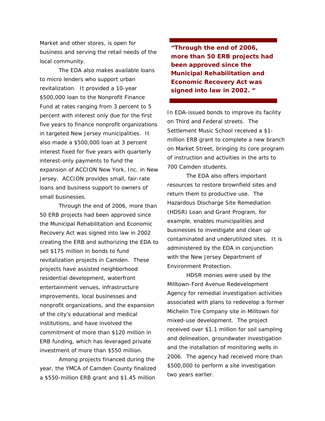Market and other stores, is open for business and serving the retail needs of the local community.

 The EDA also makes available loans to micro lenders who support urban revitalization. It provided a 10-year \$500,000 loan to the Nonprofit Finance Fund at rates ranging from 3 percent to 5 percent with interest only due for the first five years to finance nonprofit organizations in targeted New Jersey municipalities. It also made a \$500,000 loan at 3 percent interest fixed for five years with quarterly interest-only payments to fund the expansion of ACCION New York, Inc. in New Jersey. ACCION provides small, fair-rate loans and business support to owners of small businesses.

 Through the end of 2006, more than 50 ERB projects had been approved since the Municipal Rehabilitation and Economic Recovery Act was signed into law in 2002 creating the ERB and authorizing the EDA to sell \$175 million in bonds to fund revitalization projects in Camden. These projects have assisted neighborhood residential development, waterfront entertainment venues, infrastructure improvements, local businesses and nonprofit organizations, and the expansion of the city's educational and medical institutions, and have involved the commitment of more than \$120 million in ERB funding, which has leveraged private investment of more than \$550 million.

 Among projects financed during the year, the YMCA of Camden County finalized a \$550-million ERB grant and \$1.45 million

*"Through the end of 2006, more than 50 ERB projects had been approved since the Municipal Rehabilitation and Economic Recovery Act was signed into law in 2002. "* 

In EDA-issued bonds to improve its facility on Third and Federal streets. The Settlement Music School received a \$1 million ERB grant to complete a new branch on Market Street, bringing its core program of instruction and activities in the arts to 700 Camden students.

 The EDA also offers important resources to restore brownfield sites and return them to productive use. The Hazardous Discharge Site Remediation (HDSR) Loan and Grant Program, for example, enables municipalities and businesses to investigate and clean up contaminated and underutilized sites. It is administered by the EDA in conjunction with the New Jersey Department of Environment Protection.

 HDSR monies were used by the Milltown-Ford Avenue Redevelopment Agency for remedial investigation activities associated with plans to redevelop a former Michelin Tire Company site in Milltown for mixed-use development. The project received over \$1.1 million for soil sampling and delineation, groundwater investigation and the installation of monitoring wells in 2006. The agency had received more than \$500,000 to perform a site investigation two years earlier.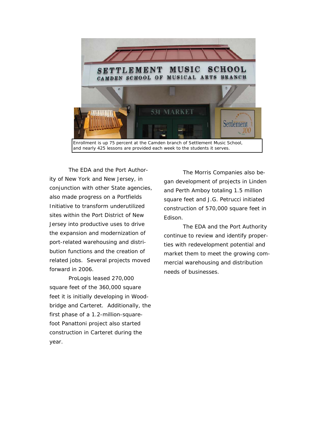

 The EDA and the Port Authority of New York and New Jersey, in conjunction with other State agencies, also made progress on a Portfields Initiative to transform underutilized sites within the Port District of New Jersey into productive uses to drive the expansion and modernization of port-related warehousing and distribution functions and the creation of related jobs. Several projects moved forward in 2006.

 ProLogis leased 270,000 square feet of the 360,000 square feet it is initially developing in Woodbridge and Carteret. Additionally, the first phase of a 1.2-million-squarefoot Panattoni project also started construction in Carteret during the year.

The Morris Companies also began development of projects in Linden and Perth Amboy totaling 1.5 million square feet and J.G. Petrucci initiated construction of 570,000 square feet in Edison.

The EDA and the Port Authority continue to review and identify properties with redevelopment potential and market them to meet the growing commercial warehousing and distribution needs of businesses.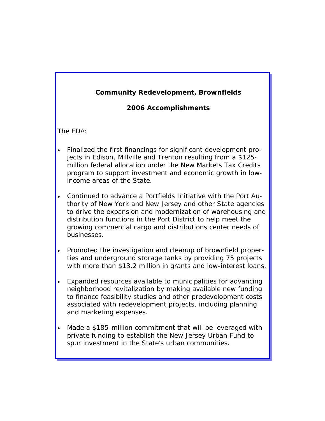# *Community Redevelopment, Brownfields*

## *2006 Accomplishments*

The EDA:

- Finalized the first financings for significant development projects in Edison, Millville and Trenton resulting from a \$125 million federal allocation under the New Markets Tax Credits program to support investment and economic growth in lowincome areas of the State.
- Continued to advance a Portfields Initiative with the Port Authority of New York and New Jersey and other State agencies to drive the expansion and modernization of warehousing and distribution functions in the Port District to help meet the growing commercial cargo and distributions center needs of businesses.
- Promoted the investigation and cleanup of brownfield properties and underground storage tanks by providing 75 projects with more than \$13.2 million in grants and low-interest loans.
- Expanded resources available to municipalities for advancing neighborhood revitalization by making available new funding to finance feasibility studies and other predevelopment costs associated with redevelopment projects, including planning and marketing expenses.
- Made a \$185-million commitment that will be leveraged with private funding to establish the New Jersey Urban Fund to spur investment in the State's urban communities.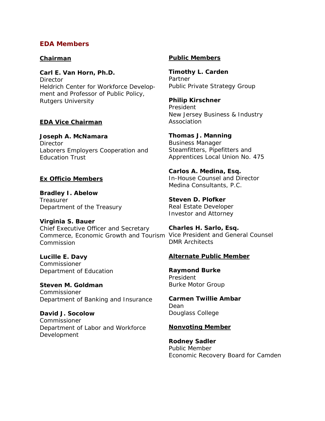## **EDA Members**

#### *Chairman*

**Carl E. Van Horn, Ph.D. Director** Heldrich Center for Workforce Development and Professor of Public Policy, Rutgers University

### *EDA Vice Chairman*

**Joseph A. McNamara Director** Laborers Employers Cooperation and Education Trust

### *Ex Officio Members*

**Bradley I. Abelow Treasurer** Department of the Treasury

**Virginia S. Bauer**  Chief Executive Officer and Secretary Commerce, Economic Growth and Tourism Vice President and General Counsel Commission

**Lucille E. Davy**  Commissioner Department of Education

**Steven M. Goldman Commissioner** Department of Banking and Insurance

**David J. Socolow**  Commissioner Department of Labor and Workforce Development

### *Public Members*

**Timothy L. Carden**  Partner Public Private Strategy Group

**Philip Kirschner**  President

New Jersey Business & Industry Association

**Thomas J. Manning**  Business Manager Steamfitters, Pipefitters and Apprentices Local Union No. 475

**Carlos A. Medina, Esq.**  In-House Counsel and Director Medina Consultants, P.C.

**Steven D. Plofker**  Real Estate Developer Investor and Attorney

**Charles H. Sarlo, Esq.**  DMR Architects

### *Alternate Public Member*

**Raymond Burke**  President Burke Motor Group

**Carmen Twillie Ambar**  Dean Douglass College

#### *Nonvoting Member*

**Rodney Sadler**  Public Member Economic Recovery Board for Camden